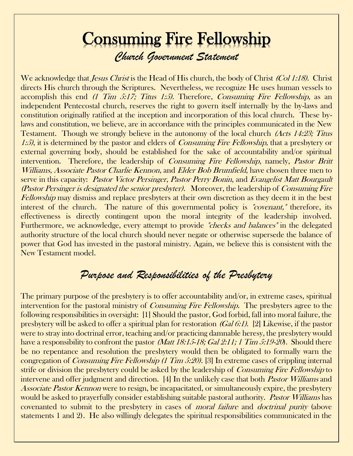## Consuming Fire Fellowship *Church Government Statement*

We acknowledge that *Jesus Christ* is the Head of His church, the body of Christ *(Col 1:18)*. Christ directs His church through the Scriptures. Nevertheless, we recognize He uses human vessels to accomplish this end (1 Tim 5:17; Titus 1:5). Therefore, Consuming Fire Fellowship, as an independent Pentecostal church, reserves the right to govern itself internally by the by-laws and constitution originally ratified at the inception and incorporation of this local church. These bylaws and constitution, we believe, are in accordance with the principles communicated in the New Testament. Though we strongly believe in the autonomy of the local church *(Acts 14:23; Titus* 1:5), it is determined by the pastor and elders of *Consuming Fire Fellowship*, that a presbytery or external governing body, should be established for the sake of accountability and/or spiritual intervention. Therefore, the leadership of *Consuming Fire Fellowship*, namely, *Pastor Britt* Williams, Associate Pastor Charlie Kennon, and Elder Bob Brumfield, have chosen three men to serve in this capacity: Pastor Victor Persinger, Pastor Perry Bonin, and Evangelist Matt Bourgault (Pastor Persinger is designated the senior presbyter). Moreover, the leadership of Consuming Fire Fellowship may dismiss and replace presbyters at their own discretion as they deem it in the best interest of the church. The nature of this governmental policy is "covenant," therefore, its effectiveness is directly contingent upon the moral integrity of the leadership involved. Furthermore, we acknowledge, every attempt to provide "checks and balances" in the delegated authority structure of the local church should never negate or otherwise supersede the balance of power that God has invested in the pastoral ministry. Again, we believe this is consistent with the New Testament model.

## *Purpose and Responsibilities of the Presbytery*

The primary purpose of the presbytery is to offer accountability and/or, in extreme cases, spiritual intervention for the pastoral ministry of *Consuming Fire Fellowship*. The presbyters agree to the following responsibilities in oversight: [1] Should the pastor, God forbid, fall into moral failure, the presbytery will be asked to offer a spiritual plan for restoration (Gal 6:1). [2] Likewise, if the pastor were to stray into doctrinal error, teaching and/or practicing damnable heresy, the presbytery would have a responsibility to confront the pastor *(Matt 18:15-18; Gal 2:11; 1 Tim 5:19-20*). Should there be no repentance and resolution the presbytery would then be obligated to formally warn the congregation of Consuming Fire Fellowship (1 Tim 5:20). [3] In extreme cases of crippling internal strife or division the presbytery could be asked by the leadership of *Consuming Fire Fellowship* to intervene and offer judgment and direction. [4] In the unlikely case that both *Pastor Williams* and Associate Pastor Kennon were to resign, be incapacitated, or simultaneously expire, the presbytery would be asked to prayerfully consider establishing suitable pastoral authority. Pastor Williams has covenanted to submit to the presbytery in cases of moral failure and doctrinal purity (above statements 1 and 2). He also willingly delegates the spiritual responsibilities communicated in the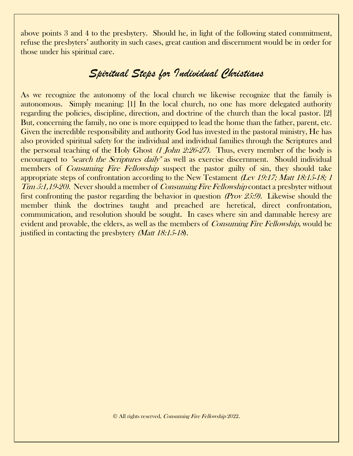above points 3 and 4 to the presbytery. Should he, in light of the following stated commitment, refuse the presbyters' authority in such cases, great caution and discernment would be in order for those under his spiritual care.

## *Spiritual Steps for Individual Christians*

As we recognize the autonomy of the local church we likewise recognize that the family is autonomous. Simply meaning: [1] In the local church, no one has more delegated authority regarding the policies, discipline, direction, and doctrine of the church than the local pastor. [2] But, concerning the family, no one is more equipped to lead the home than the father, parent, etc. Given the incredible responsibility and authority God has invested in the pastoral ministry, He has also provided spiritual safety for the individual and individual families through the Scriptures and the personal teaching of the Holy Ghost *(1 John 2:26-27)*. Thus, every member of the body is encouraged to *"search the Scriptures daily"* as well as exercise discernment. Should individual members of *Consuming Fire Fellowship* suspect the pastor guilty of sin, they should take appropriate steps of confrontation according to the New Testament (Lev 19:17; Matt 18:15-18; 1 Tim 5:1,19-20). Never should a member of *Consuming Fire Fellowship* contact a presbyter without first confronting the pastor regarding the behavior in question (Prov 25:9). Likewise should the member think the doctrines taught and preached are heretical, direct confrontation, communication, and resolution should be sought. In cases where sin and damnable heresy are evident and provable, the elders, as well as the members of *Consuming Fire Fellowship*, would be justified in contacting the presbytery *(Matt 18:15-18)*.